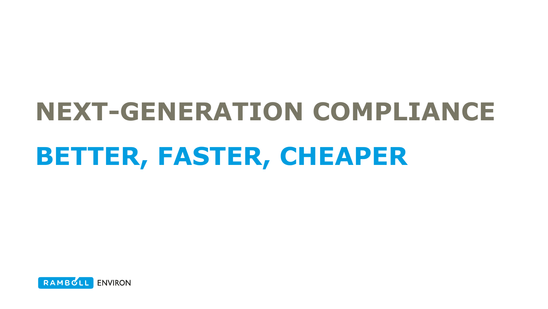# **NEXT-GENERATION COMPLIANCE BETTER, FASTER, CHEAPER**

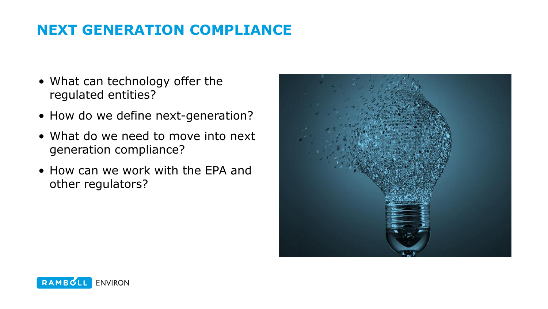## **NEXT GENERATION COMPLIANCE**

- What can technology offer the regulated entities?
- How do we define next-generation?
- What do we need to move into next generation compliance?
- How can we work with the EPA and other regulators?



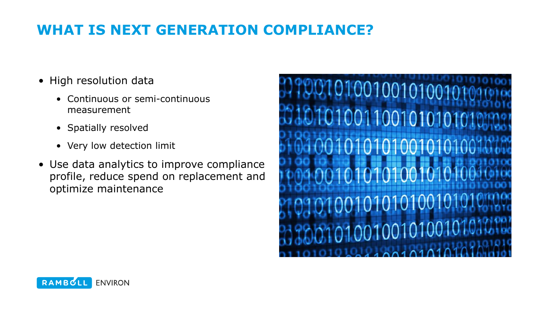## **WHAT IS NEXT GENERATION COMPLIANCE?**

- High resolution data
	- Continuous or semi-continuous measurement
	- Spatially resolved
	- Very low detection limit
- Use data analytics to improve compliance profile, reduce spend on replacement and optimize maintenance



![](_page_2_Picture_7.jpeg)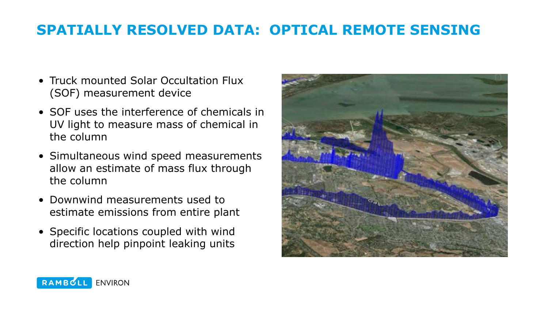## **SPATIALLY RESOLVED DATA: OPTICAL REMOTE SENSING**

- Truck mounted Solar Occultation Flux (SOF) measurement device
- SOF uses the interference of chemicals in UV light to measure mass of chemical in the column
- Simultaneous wind speed measurements allow an estimate of mass flux through the column
- Downwind measurements used to estimate emissions from entire plant
- Specific locations coupled with wind direction help pinpoint leaking units

![](_page_3_Picture_6.jpeg)

![](_page_3_Picture_7.jpeg)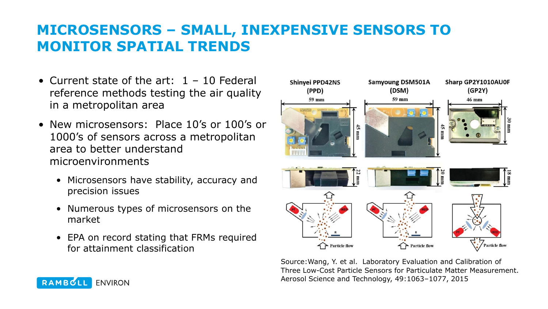## **MICROSENSORS – SMALL, INEXPENSIVE SENSORS TO MONITOR SPATIAL TRENDS**

- Current state of the art:  $1 10$  Federal reference methods testing the air quality in a metropolitan area
- New microsensors: Place 10's or 100's or 1000's of sensors across a metropolitan area to better understand microenvironments
	- Microsensors have stability, accuracy and precision issues
	- Numerous types of microsensors on the market
	- EPA on record stating that FRMs required for attainment classification

![](_page_4_Figure_6.jpeg)

Source:Wang, Y. et al. Laboratory Evaluation and Calibration of Three Low-Cost Particle Sensors for Particulate Matter Measurement. Aerosol Science and Technology, 49:1063–1077, 2015

![](_page_4_Picture_8.jpeg)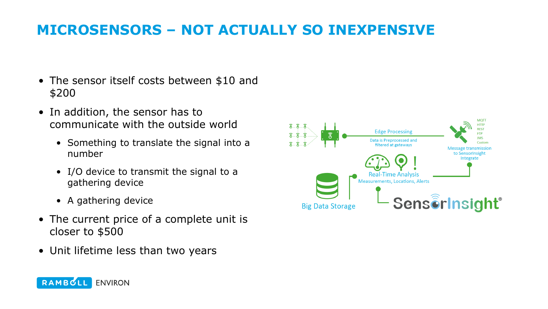## **MICROSENSORS – NOT ACTUALLY SO INEXPENSIVE**

- The sensor itself costs between \$10 and \$200
- In addition, the sensor has to communicate with the outside world
	- Something to translate the signal into a number
	- I/O device to transmit the signal to a gathering device
	- A gathering device
- The current price of a complete unit is closer to \$500
- Unit lifetime less than two years

![](_page_5_Picture_8.jpeg)

![](_page_5_Picture_9.jpeg)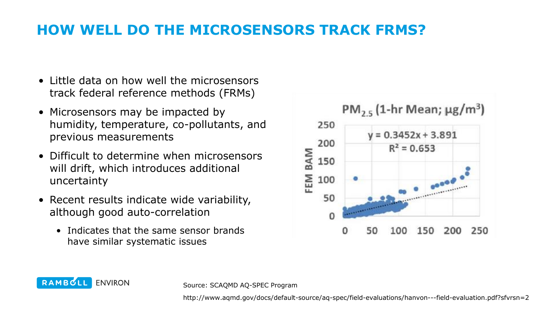## **HOW WELL DO THE MICROSENSORS TRACK FRMS?**

- Little data on how well the microsensors track federal reference methods (FRMs)
- Microsensors may be impacted by humidity, temperature, co-pollutants, and previous measurements
- Difficult to determine when microsensors will drift, which introduces additional uncertainty
- Recent results indicate wide variability, although good auto-correlation
	- Indicates that the same sensor brands have similar systematic issues

![](_page_6_Figure_6.jpeg)

RAMBULL **ENVIRON** 

Source: SCAQMD AQ-SPEC Program

http://www.aqmd.gov/docs/default-source/aq-spec/field-evaluations/hanvon---field-evaluation.pdf?sfvrsn=2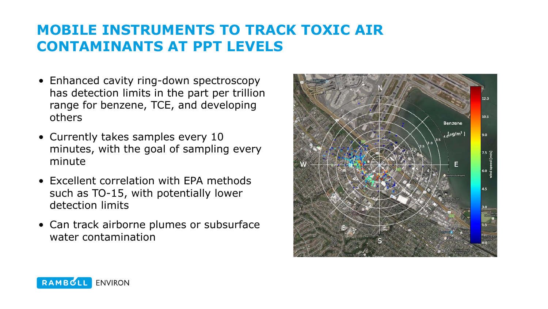## **MOBILE INSTRUMENTS TO TRACK TOXIC AIR CONTAMINANTS AT PPT LEVELS**

- Enhanced cavity ring-down spectroscopy has detection limits in the part per trillion range for benzene, TCE, and developing others
- Currently takes samples every 10 minutes, with the goal of sampling every minute
- Excellent correlation with EPA methods such as TO-15, with potentially lower detection limits
- Can track airborne plumes or subsurface water contamination

![](_page_7_Figure_5.jpeg)

![](_page_7_Picture_6.jpeg)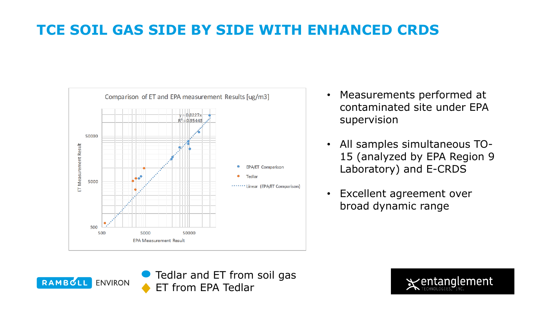# **TCE SOIL GAS SIDE BY SIDE WITH ENHANCED CRDS**

![](_page_8_Figure_1.jpeg)

- Measurements performed at contaminated site under EPA supervision
- All samples simultaneous TO-15 (analyzed by EPA Region 9 Laboratory) and E-CRDS
- Excellent agreement over broad dynamic range

![](_page_8_Picture_5.jpeg)

![](_page_8_Picture_6.jpeg)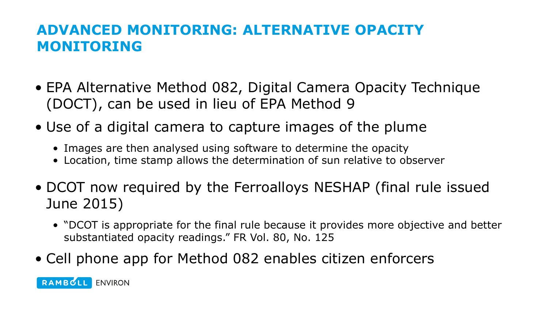## **ADVANCED MONITORING: ALTERNATIVE OPACITY MONITORING**

- EPA Alternative Method 082, Digital Camera Opacity Technique (DOCT), can be used in lieu of EPA Method 9
- Use of a digital camera to capture images of the plume
	- Images are then analysed using software to determine the opacity
	- Location, time stamp allows the determination of sun relative to observer
- DCOT now required by the Ferroalloys NESHAP (final rule issued June 2015)
	- "DCOT is appropriate for the final rule because it provides more objective and better substantiated opacity readings." FR Vol. 80, No. 125
- Cell phone app for Method 082 enables citizen enforcers

RAMBOLL ENVIRON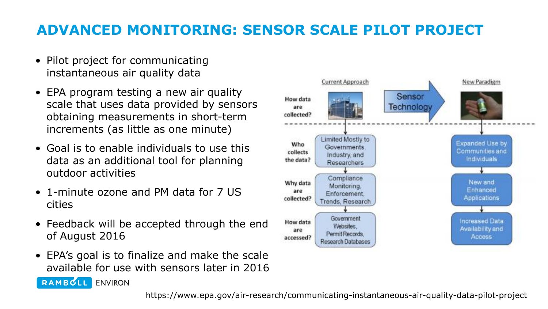# **ADVANCED MONITORING: SENSOR SCALE PILOT PROJECT**

- Pilot project for communicating instantaneous air quality data
- EPA program testing a new air quality scale that uses data provided by sensors obtaining measurements in short-term increments (as little as one minute)
- Goal is to enable individuals to use this data as an additional tool for planning outdoor activities
- 1-minute ozone and PM data for 7 US cities

RAMBOLL ENVIRON

- Feedback will be accepted through the end of August 2016
- EPA's goal is to finalize and make the scale available for use with sensors later in 2016

![](_page_10_Figure_7.jpeg)

https://www.epa.gov/air-research/communicating-instantaneous-air-quality-data-pilot-project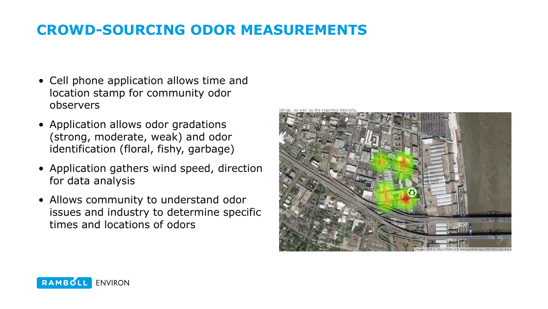## **CROWD-SOURCING ODOR MEASUREMENTS**

- Cell phone application allows time and location stamp for community odor observers
- Application allows odor gradations (strong, moderate, weak) and odor identification (floral, fishy, garbage)
- Application gathers wind speed, direction for data analysis
- Allows community to understand odor issues and industry to determine specific times and locations of odors

![](_page_11_Picture_5.jpeg)

![](_page_11_Picture_6.jpeg)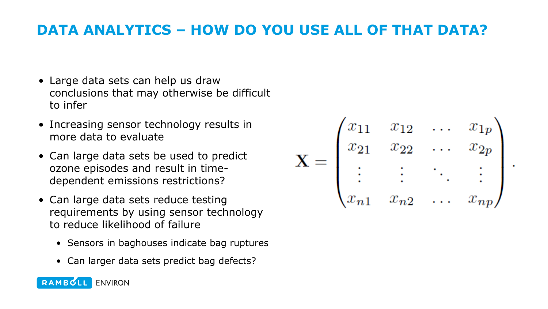#### **DATA ANALYTICS – HOW DO YOU USE ALL OF THAT DATA?**

- Large data sets can help us draw conclusions that may otherwise be difficult to infer
- Increasing sensor technology results in more data to evaluate
- Can large data sets be used to predict ozone episodes and result in timedependent emissions restrictions?
- Can large data sets reduce testing requirements by using sensor technology to reduce likelihood of failure
	- Sensors in baghouses indicate bag ruptures
	- Can larger data sets predict bag defects?

$$
\mathbf{X} = \begin{pmatrix} x_{11} & x_{12} & \dots & x_{1p} \\ x_{21} & x_{22} & \dots & x_{2p} \\ \vdots & \vdots & \ddots & \vdots \\ x_{n1} & x_{n2} & \dots & x_{np} \end{pmatrix}
$$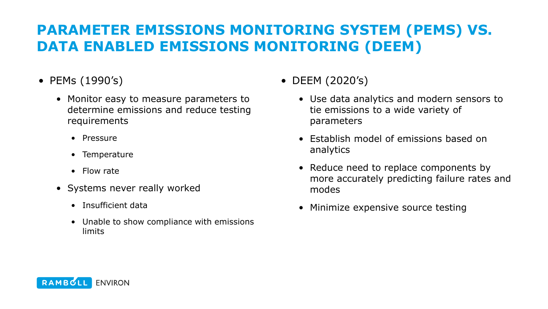## **PARAMETER EMISSIONS MONITORING SYSTEM (PEMS) VS. DATA ENABLED EMISSIONS MONITORING (DEEM)**

- PEMs (1990's)
	- Monitor easy to measure parameters to determine emissions and reduce testing requirements
		- Pressure
		- Temperature
		- Flow rate
	- Systems never really worked
		- Insufficient data
		- Unable to show compliance with emissions limits

• DEEM (2020's)

- Use data analytics and modern sensors to tie emissions to a wide variety of parameters
- Establish model of emissions based on analytics
- Reduce need to replace components by more accurately predicting failure rates and modes
- Minimize expensive source testing

![](_page_13_Picture_14.jpeg)